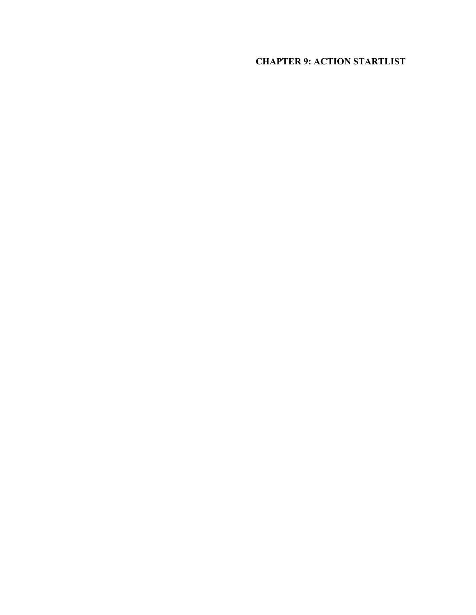# **CHAPTER 9: ACTION STARTLIST**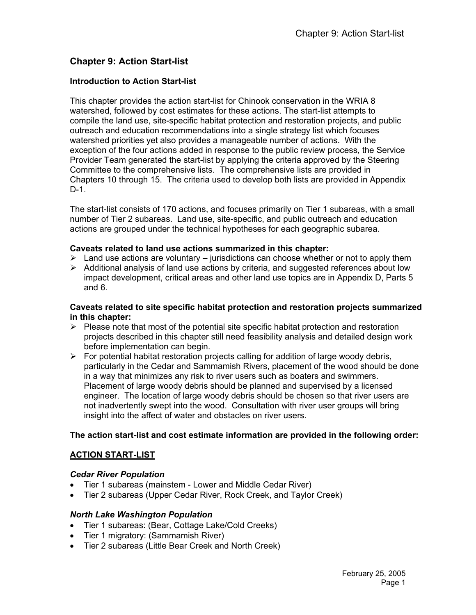# **Chapter 9: Action Start-list**

### **Introduction to Action Start-list**

This chapter provides the action start-list for Chinook conservation in the WRIA 8 watershed, followed by cost estimates for these actions. The start-list attempts to compile the land use, site-specific habitat protection and restoration projects, and public outreach and education recommendations into a single strategy list which focuses watershed priorities yet also provides a manageable number of actions. With the exception of the four actions added in response to the public review process, the Service Provider Team generated the start-list by applying the criteria approved by the Steering Committee to the comprehensive lists. The comprehensive lists are provided in Chapters 10 through 15. The criteria used to develop both lists are provided in Appendix D-1.

The start-list consists of 170 actions, and focuses primarily on Tier 1 subareas, with a small number of Tier 2 subareas. Land use, site-specific, and public outreach and education actions are grouped under the technical hypotheses for each geographic subarea.

#### **Caveats related to land use actions summarized in this chapter:**

- $\triangleright$  Land use actions are voluntary jurisdictions can choose whether or not to apply them
- $\triangleright$  Additional analysis of land use actions by criteria, and suggested references about low impact development, critical areas and other land use topics are in Appendix D, Parts 5 and 6.

#### **Caveats related to site specific habitat protection and restoration projects summarized in this chapter:**

- $\triangleright$  Please note that most of the potential site specific habitat protection and restoration projects described in this chapter still need feasibility analysis and detailed design work before implementation can begin.
- $\triangleright$  For potential habitat restoration projects calling for addition of large woody debris, particularly in the Cedar and Sammamish Rivers, placement of the wood should be done in a way that minimizes any risk to river users such as boaters and swimmers. Placement of large woody debris should be planned and supervised by a licensed engineer. The location of large woody debris should be chosen so that river users are not inadvertently swept into the wood. Consultation with river user groups will bring insight into the affect of water and obstacles on river users.

### **The action start-list and cost estimate information are provided in the following order:**

### **ACTION START-LIST**

### *Cedar River Population*

- Tier 1 subareas (mainstem Lower and Middle Cedar River)
- Tier 2 subareas (Upper Cedar River, Rock Creek, and Taylor Creek)

#### *North Lake Washington Population*

- Tier 1 subareas: (Bear, Cottage Lake/Cold Creeks)
- Tier 1 migratory: (Sammamish River)
- Tier 2 subareas (Little Bear Creek and North Creek)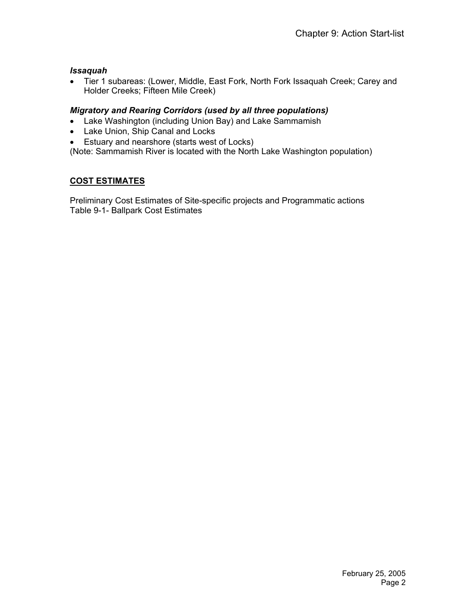### *Issaquah*

• Tier 1 subareas: (Lower, Middle, East Fork, North Fork Issaquah Creek; Carey and Holder Creeks; Fifteen Mile Creek)

# *Migratory and Rearing Corridors (used by all three populations)*

- Lake Washington (including Union Bay) and Lake Sammamish
- Lake Union, Ship Canal and Locks
- Estuary and nearshore (starts west of Locks)

(Note: Sammamish River is located with the North Lake Washington population)

# **COST ESTIMATES**

Preliminary Cost Estimates of Site-specific projects and Programmatic actions Table 9-1- Ballpark Cost Estimates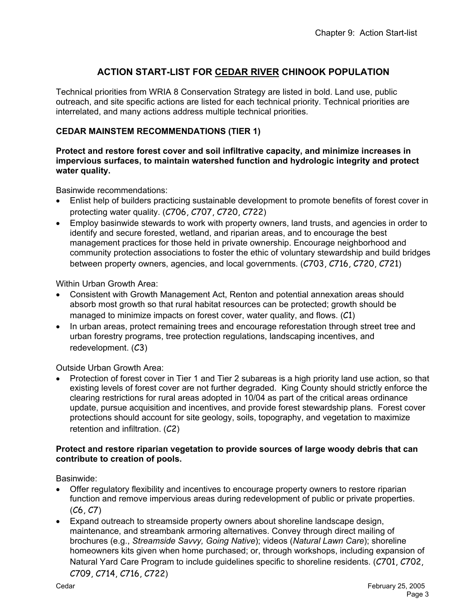# **ACTION START-LIST FOR CEDAR RIVER CHINOOK POPULATION**

Technical priorities from WRIA 8 Conservation Strategy are listed in bold. Land use, public outreach, and site specific actions are listed for each technical priority. Technical priorities are interrelated, and many actions address multiple technical priorities.

## **CEDAR MAINSTEM RECOMMENDATIONS (TIER 1)**

#### **Protect and restore forest cover and soil infiltrative capacity, and minimize increases in impervious surfaces, to maintain watershed function and hydrologic integrity and protect water quality.**

Basinwide recommendations:

- Enlist help of builders practicing sustainable development to promote benefits of forest cover in protecting water quality. (C706, C707, C720, C722)
- Employ basinwide stewards to work with property owners, land trusts, and agencies in order to identify and secure forested, wetland, and riparian areas, and to encourage the best management practices for those held in private ownership. Encourage neighborhood and community protection associations to foster the ethic of voluntary stewardship and build bridges between property owners, agencies, and local governments. (C703, C716, C720, C721)

Within Urban Growth Area:

- Consistent with Growth Management Act, Renton and potential annexation areas should absorb most growth so that rural habitat resources can be protected; growth should be managed to minimize impacts on forest cover, water quality, and flows. (C1)
- In urban areas, protect remaining trees and encourage reforestation through street tree and urban forestry programs, tree protection regulations, landscaping incentives, and redevelopment. (C3)

Outside Urban Growth Area:

• Protection of forest cover in Tier 1 and Tier 2 subareas is a high priority land use action, so that existing levels of forest cover are not further degraded. King County should strictly enforce the clearing restrictions for rural areas adopted in 10/04 as part of the critical areas ordinance update, pursue acquisition and incentives, and provide forest stewardship plans. Forest cover protections should account for site geology, soils, topography, and vegetation to maximize retention and infiltration. (C2)

#### **Protect and restore riparian vegetation to provide sources of large woody debris that can contribute to creation of pools.**

Basinwide:

- Offer regulatory flexibility and incentives to encourage property owners to restore riparian function and remove impervious areas during redevelopment of public or private properties.  $(C6, C7)$
- Expand outreach to streamside property owners about shoreline landscape design, maintenance, and streambank armoring alternatives. Convey through direct mailing of brochures (e.g., *Streamside Savvy, Going Native*); videos (*Natural Lawn Care*); shoreline homeowners kits given when home purchased; or, through workshops, including expansion of Natural Yard Care Program to include guidelines specific to shoreline residents. (C701, C702, C709, C714, C716, C722)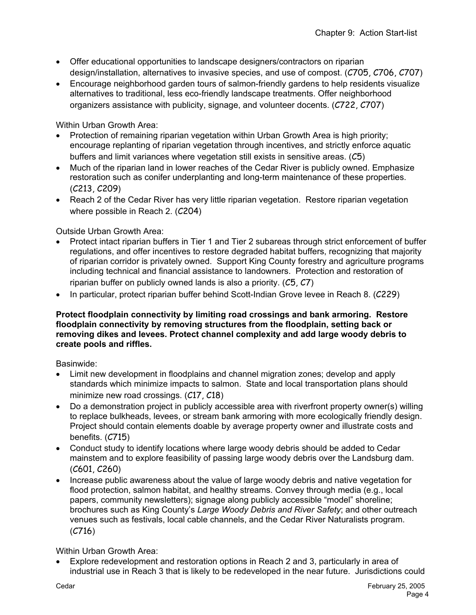- Offer educational opportunities to landscape designers/contractors on riparian design/installation, alternatives to invasive species, and use of compost. (C705, C706, C707)
- Encourage neighborhood garden tours of salmon-friendly gardens to help residents visualize alternatives to traditional, less eco-friendly landscape treatments. Offer neighborhood organizers assistance with publicity, signage, and volunteer docents. (C722, C707)

Within Urban Growth Area:

- Protection of remaining riparian vegetation within Urban Growth Area is high priority; encourage replanting of riparian vegetation through incentives, and strictly enforce aquatic buffers and limit variances where vegetation still exists in sensitive areas. (C5)
- Much of the riparian land in lower reaches of the Cedar River is publicly owned. Emphasize restoration such as conifer underplanting and long-term maintenance of these properties. (C213, C209)
- Reach 2 of the Cedar River has very little riparian vegetation. Restore riparian vegetation where possible in Reach 2. (C204)

Outside Urban Growth Area:

- Protect intact riparian buffers in Tier 1 and Tier 2 subareas through strict enforcement of buffer regulations, and offer incentives to restore degraded habitat buffers, recognizing that majority of riparian corridor is privately owned. Support King County forestry and agriculture programs including technical and financial assistance to landowners. Protection and restoration of riparian buffer on publicly owned lands is also a priority.  $(C5, C7)$
- In particular, protect riparian buffer behind Scott-Indian Grove levee in Reach 8. (C229)

#### **Protect floodplain connectivity by limiting road crossings and bank armoring. Restore floodplain connectivity by removing structures from the floodplain, setting back or removing dikes and levees. Protect channel complexity and add large woody debris to create pools and riffles.**

Basinwide:

- Limit new development in floodplains and channel migration zones; develop and apply standards which minimize impacts to salmon. State and local transportation plans should minimize new road crossings. (C17, C18)
- Do a demonstration project in publicly accessible area with riverfront property owner(s) willing to replace bulkheads, levees, or stream bank armoring with more ecologically friendly design. Project should contain elements doable by average property owner and illustrate costs and benefits. (C715)
- Conduct study to identify locations where large woody debris should be added to Cedar mainstem and to explore feasibility of passing large woody debris over the Landsburg dam. (C601, C260)
- Increase public awareness about the value of large woody debris and native vegetation for flood protection, salmon habitat, and healthy streams. Convey through media (e.g., local papers, community newsletters); signage along publicly accessible "model" shoreline; brochures such as King County's *Large Woody Debris and River Safety*; and other outreach venues such as festivals, local cable channels, and the Cedar River Naturalists program. (C716)

Within Urban Growth Area:

• Explore redevelopment and restoration options in Reach 2 and 3, particularly in area of industrial use in Reach 3 that is likely to be redeveloped in the near future. Jurisdictions could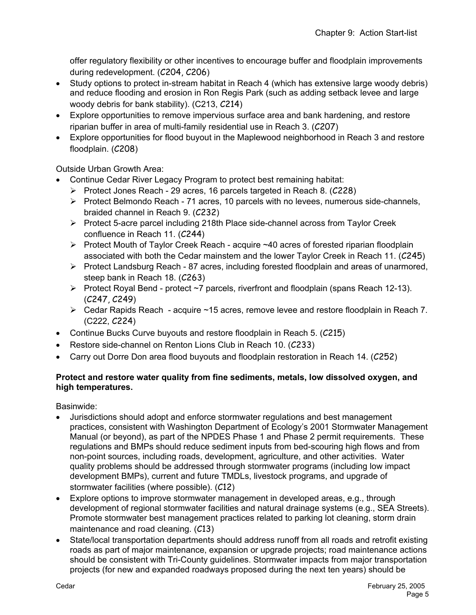offer regulatory flexibility or other incentives to encourage buffer and floodplain improvements during redevelopment. (C204, C206)

- Study options to protect in-stream habitat in Reach 4 (which has extensive large woody debris) and reduce flooding and erosion in Ron Regis Park (such as adding setback levee and large woody debris for bank stability). (C213, C214)
- Explore opportunities to remove impervious surface area and bank hardening, and restore riparian buffer in area of multi-family residential use in Reach 3. (C207)
- Explore opportunities for flood buyout in the Maplewood neighborhood in Reach 3 and restore floodplain. (C208)

Outside Urban Growth Area:

- Continue Cedar River Legacy Program to protect best remaining habitat:
	- ¾ Protect Jones Reach 29 acres, 16 parcels targeted in Reach 8. (C228)
	- ¾ Protect Belmondo Reach 71 acres, 10 parcels with no levees, numerous side-channels, braided channel in Reach 9. (C232)
	- ¾ Protect 5-acre parcel including 218th Place side-channel across from Taylor Creek confluence in Reach 11. (C244)
	- $\triangleright$  Protect Mouth of Taylor Creek Reach acquire  $\sim$  40 acres of forested riparian floodplain associated with both the Cedar mainstem and the lower Taylor Creek in Reach 11. (C245)
	- ¾ Protect Landsburg Reach 87 acres, including forested floodplain and areas of unarmored, steep bank in Reach 18. (C263)
	- ¾ Protect Royal Bend protect ~7 parcels, riverfront and floodplain (spans Reach 12-13). (C247, C249)
	- $\triangleright$  Cedar Rapids Reach acquire ~15 acres, remove levee and restore floodplain in Reach 7. (C222, C224)
- Continue Bucks Curve buyouts and restore floodplain in Reach 5. (C215)
- Restore side-channel on Renton Lions Club in Reach 10. (C233)
- Carry out Dorre Don area flood buyouts and floodplain restoration in Reach 14. (C252)

## **Protect and restore water quality from fine sediments, metals, low dissolved oxygen, and high temperatures.**

Basinwide:

- Jurisdictions should adopt and enforce stormwater regulations and best management practices, consistent with Washington Department of Ecology's 2001 Stormwater Management Manual (or beyond), as part of the NPDES Phase 1 and Phase 2 permit requirements. These regulations and BMPs should reduce sediment inputs from bed-scouring high flows and from non-point sources, including roads, development, agriculture, and other activities. Water quality problems should be addressed through stormwater programs (including low impact development BMPs), current and future TMDLs, livestock programs, and upgrade of stormwater facilities (where possible). (C12)
- Explore options to improve stormwater management in developed areas, e.g., through development of regional stormwater facilities and natural drainage systems (e.g., SEA Streets). Promote stormwater best management practices related to parking lot cleaning, storm drain maintenance and road cleaning. (C13)
- State/local transportation departments should address runoff from all roads and retrofit existing roads as part of major maintenance, expansion or upgrade projects; road maintenance actions should be consistent with Tri-County guidelines. Stormwater impacts from major transportation projects (for new and expanded roadways proposed during the next ten years) should be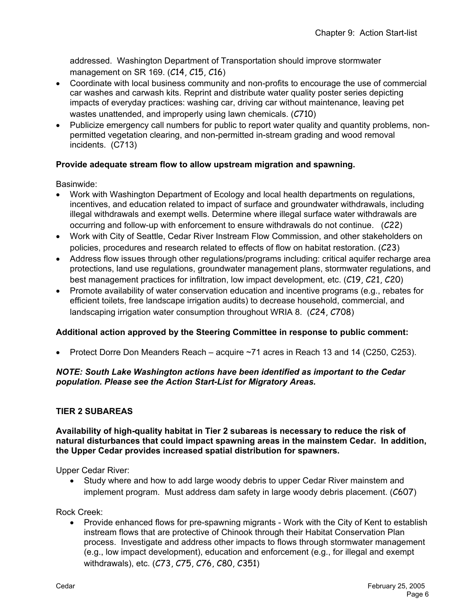addressed. Washington Department of Transportation should improve stormwater management on SR 169. (C14, C15, C16)

- Coordinate with local business community and non-profits to encourage the use of commercial car washes and carwash kits. Reprint and distribute water quality poster series depicting impacts of everyday practices: washing car, driving car without maintenance, leaving pet wastes unattended, and improperly using lawn chemicals. (C710)
- Publicize emergency call numbers for public to report water quality and quantity problems, nonpermitted vegetation clearing, and non-permitted in-stream grading and wood removal incidents. (C713)

# **Provide adequate stream flow to allow upstream migration and spawning.**

Basinwide:

- Work with Washington Department of Ecology and local health departments on regulations, incentives, and education related to impact of surface and groundwater withdrawals, including illegal withdrawals and exempt wells. Determine where illegal surface water withdrawals are occurring and follow-up with enforcement to ensure withdrawals do not continue. (C22)
- Work with City of Seattle, Cedar River Instream Flow Commission, and other stakeholders on policies, procedures and research related to effects of flow on habitat restoration. (C23)
- Address flow issues through other regulations/programs including: critical aquifer recharge area protections, land use regulations, groundwater management plans, stormwater regulations, and best management practices for infiltration, low impact development, etc. (C19, C21, C20)
- Promote availability of water conservation education and incentive programs (e.g., rebates for efficient toilets, free landscape irrigation audits) to decrease household, commercial, and landscaping irrigation water consumption throughout WRIA 8. (C24, C708)

### **Additional action approved by the Steering Committee in response to public comment:**

• Protect Dorre Don Meanders Reach – acquire ~71 acres in Reach 13 and 14 (C250, C253).

## *NOTE: South Lake Washington actions have been identified as important to the Cedar population. Please see the Action Start-List for Migratory Areas.*

# **TIER 2 SUBAREAS**

#### **Availability of high-quality habitat in Tier 2 subareas is necessary to reduce the risk of natural disturbances that could impact spawning areas in the mainstem Cedar. In addition, the Upper Cedar provides increased spatial distribution for spawners.**

Upper Cedar River:

• Study where and how to add large woody debris to upper Cedar River mainstem and implement program. Must address dam safety in large woody debris placement. (C607)

Rock Creek:

• Provide enhanced flows for pre-spawning migrants - Work with the City of Kent to establish instream flows that are protective of Chinook through their Habitat Conservation Plan process. Investigate and address other impacts to flows through stormwater management (e.g., low impact development), education and enforcement (e.g., for illegal and exempt withdrawals), etc. (C73, C75, C76, C80, C351)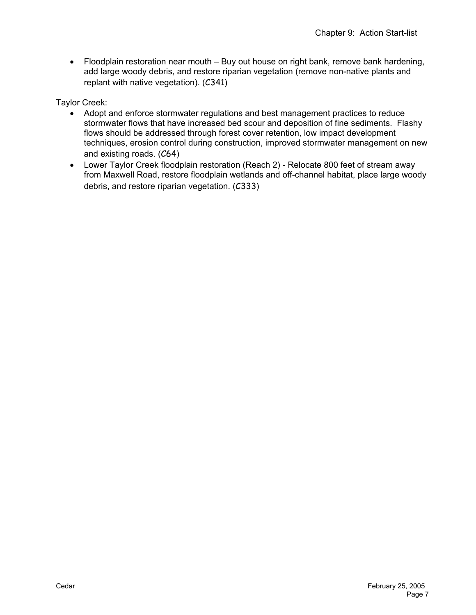• Floodplain restoration near mouth – Buy out house on right bank, remove bank hardening, add large woody debris, and restore riparian vegetation (remove non-native plants and replant with native vegetation). (C341)

Taylor Creek:

- Adopt and enforce stormwater regulations and best management practices to reduce stormwater flows that have increased bed scour and deposition of fine sediments. Flashy flows should be addressed through forest cover retention, low impact development techniques, erosion control during construction, improved stormwater management on new and existing roads. (C64)
- Lower Taylor Creek floodplain restoration (Reach 2) Relocate 800 feet of stream away from Maxwell Road, restore floodplain wetlands and off-channel habitat, place large woody debris, and restore riparian vegetation. (C333)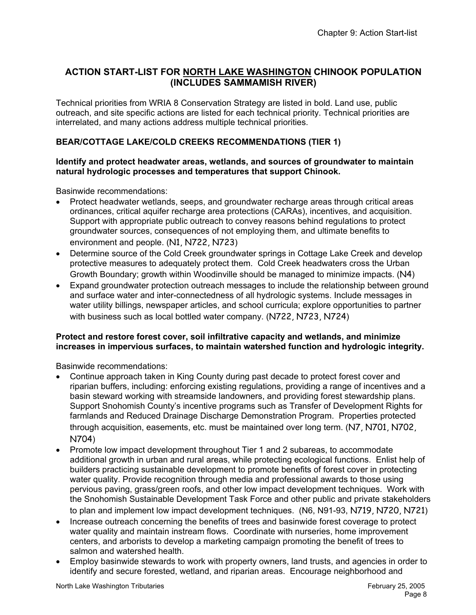# **ACTION START-LIST FOR NORTH LAKE WASHINGTON CHINOOK POPULATION (INCLUDES SAMMAMISH RIVER)**

Technical priorities from WRIA 8 Conservation Strategy are listed in bold. Land use, public outreach, and site specific actions are listed for each technical priority. Technical priorities are interrelated, and many actions address multiple technical priorities.

# **BEAR/COTTAGE LAKE/COLD CREEKS RECOMMENDATIONS (TIER 1)**

### **Identify and protect headwater areas, wetlands, and sources of groundwater to maintain natural hydrologic processes and temperatures that support Chinook.**

Basinwide recommendations:

- Protect headwater wetlands, seeps, and groundwater recharge areas through critical areas ordinances, critical aquifer recharge area protections (CARAs), incentives, and acquisition. Support with appropriate public outreach to convey reasons behind regulations to protect groundwater sources, consequences of not employing them, and ultimate benefits to environment and people. (N1, N722, N723)
- Determine source of the Cold Creek groundwater springs in Cottage Lake Creek and develop protective measures to adequately protect them. Cold Creek headwaters cross the Urban Growth Boundary; growth within Woodinville should be managed to minimize impacts. (N4)
- Expand groundwater protection outreach messages to include the relationship between ground and surface water and inter-connectedness of all hydrologic systems. Include messages in water utility billings, newspaper articles, and school curricula; explore opportunities to partner with business such as local bottled water company. (N722, N723, N724)

## **Protect and restore forest cover, soil infiltrative capacity and wetlands, and minimize increases in impervious surfaces, to maintain watershed function and hydrologic integrity.**

Basinwide recommendations:

- Continue approach taken in King County during past decade to protect forest cover and riparian buffers, including: enforcing existing regulations, providing a range of incentives and a basin steward working with streamside landowners, and providing forest stewardship plans. Support Snohomish County's incentive programs such as Transfer of Development Rights for farmlands and Reduced Drainage Discharge Demonstration Program. Properties protected through acquisition, easements, etc. must be maintained over long term. (N7, N701, N702, N704)
- Promote low impact development throughout Tier 1 and 2 subareas, to accommodate additional growth in urban and rural areas, while protecting ecological functions. Enlist help of builders practicing sustainable development to promote benefits of forest cover in protecting water quality. Provide recognition through media and professional awards to those using pervious paving, grass/green roofs, and other low impact development techniques. Work with the Snohomish Sustainable Development Task Force and other public and private stakeholders to plan and implement low impact development techniques. (N6, N91-93, N719, N720, N721)
- Increase outreach concerning the benefits of trees and basinwide forest coverage to protect water quality and maintain instream flows. Coordinate with nurseries, home improvement centers, and arborists to develop a marketing campaign promoting the benefit of trees to salmon and watershed health.
- Employ basinwide stewards to work with property owners, land trusts, and agencies in order to identify and secure forested, wetland, and riparian areas. Encourage neighborhood and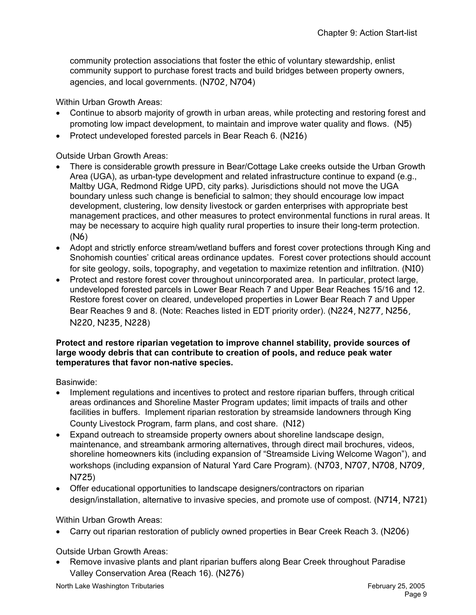community protection associations that foster the ethic of voluntary stewardship, enlist community support to purchase forest tracts and build bridges between property owners, agencies, and local governments. (N702, N704)

Within Urban Growth Areas:

- Continue to absorb majority of growth in urban areas, while protecting and restoring forest and promoting low impact development, to maintain and improve water quality and flows. (N5)
- Protect undeveloped forested parcels in Bear Reach 6. (N216)

Outside Urban Growth Areas:

- There is considerable growth pressure in Bear/Cottage Lake creeks outside the Urban Growth Area (UGA), as urban-type development and related infrastructure continue to expand (e.g., Maltby UGA, Redmond Ridge UPD, city parks). Jurisdictions should not move the UGA boundary unless such change is beneficial to salmon; they should encourage low impact development, clustering, low density livestock or garden enterprises with appropriate best management practices, and other measures to protect environmental functions in rural areas. It may be necessary to acquire high quality rural properties to insure their long-term protection. (N6)
- Adopt and strictly enforce stream/wetland buffers and forest cover protections through King and Snohomish counties' critical areas ordinance updates. Forest cover protections should account for site geology, soils, topography, and vegetation to maximize retention and infiltration. (N10)
- Protect and restore forest cover throughout unincorporated area. In particular, protect large, undeveloped forested parcels in Lower Bear Reach 7 and Upper Bear Reaches 15/16 and 12. Restore forest cover on cleared, undeveloped properties in Lower Bear Reach 7 and Upper Bear Reaches 9 and 8. (Note: Reaches listed in EDT priority order). (N224, N277, N256, N220, N235, N228)

#### **Protect and restore riparian vegetation to improve channel stability, provide sources of large woody debris that can contribute to creation of pools, and reduce peak water temperatures that favor non-native species.**

Basinwide:

- Implement regulations and incentives to protect and restore riparian buffers, through critical areas ordinances and Shoreline Master Program updates; limit impacts of trails and other facilities in buffers. Implement riparian restoration by streamside landowners through King County Livestock Program, farm plans, and cost share. (N12)
- Expand outreach to streamside property owners about shoreline landscape design, maintenance, and streambank armoring alternatives, through direct mail brochures, videos, shoreline homeowners kits (including expansion of "Streamside Living Welcome Wagon"), and workshops (including expansion of Natural Yard Care Program). (N703, N707, N708, N709, N725)
- Offer educational opportunities to landscape designers/contractors on riparian design/installation, alternative to invasive species, and promote use of compost. (N714, N721)

Within Urban Growth Areas:

• Carry out riparian restoration of publicly owned properties in Bear Creek Reach 3. (N206)

Outside Urban Growth Areas:

• Remove invasive plants and plant riparian buffers along Bear Creek throughout Paradise Valley Conservation Area (Reach 16). (N276)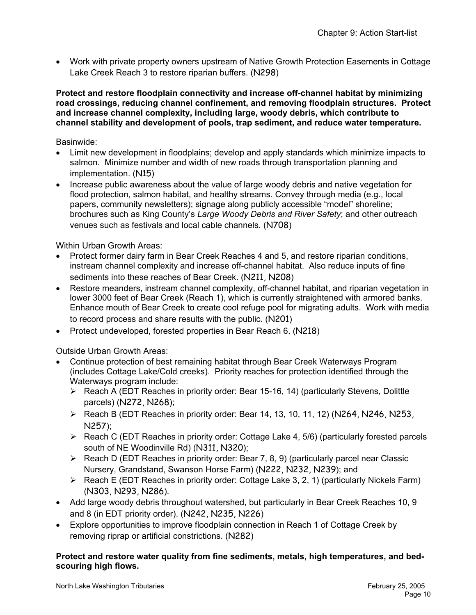• Work with private property owners upstream of Native Growth Protection Easements in Cottage Lake Creek Reach 3 to restore riparian buffers. (N298)

**Protect and restore floodplain connectivity and increase off-channel habitat by minimizing road crossings, reducing channel confinement, and removing floodplain structures. Protect and increase channel complexity, including large, woody debris, which contribute to channel stability and development of pools, trap sediment, and reduce water temperature.** 

#### Basinwide:

- Limit new development in floodplains; develop and apply standards which minimize impacts to salmon. Minimize number and width of new roads through transportation planning and implementation. (N15)
- Increase public awareness about the value of large woody debris and native vegetation for flood protection, salmon habitat, and healthy streams. Convey through media (e.g., local papers, community newsletters); signage along publicly accessible "model" shoreline; brochures such as King County's *Large Woody Debris and River Safety*; and other outreach venues such as festivals and local cable channels. (N708)

Within Urban Growth Areas:

- Protect former dairy farm in Bear Creek Reaches 4 and 5, and restore riparian conditions, instream channel complexity and increase off-channel habitat. Also reduce inputs of fine sediments into these reaches of Bear Creek. (N211, N208)
- Restore meanders, instream channel complexity, off-channel habitat, and riparian vegetation in lower 3000 feet of Bear Creek (Reach 1), which is currently straightened with armored banks. Enhance mouth of Bear Creek to create cool refuge pool for migrating adults. Work with media to record process and share results with the public. (N201)
- Protect undeveloped, forested properties in Bear Reach 6. (N218)

Outside Urban Growth Areas:

- Continue protection of best remaining habitat through Bear Creek Waterways Program (includes Cottage Lake/Cold creeks). Priority reaches for protection identified through the Waterways program include:
	- ¾ Reach A (EDT Reaches in priority order: Bear 15-16, 14) (particularly Stevens, Dolittle parcels) (N272, N268);
	- ¾ Reach B (EDT Reaches in priority order: Bear 14, 13, 10, 11, 12) (N264, N246, N253, N257);
	- $\triangleright$  Reach C (EDT Reaches in priority order: Cottage Lake 4, 5/6) (particularly forested parcels south of NE Woodinville Rd) (N311, N320);
	- ¾ Reach D (EDT Reaches in priority order: Bear 7, 8, 9) (particularly parcel near Classic Nursery, Grandstand, Swanson Horse Farm) (N222, N232, N239); and
	- $\triangleright$  Reach E (EDT Reaches in priority order: Cottage Lake 3, 2, 1) (particularly Nickels Farm) (N303, N293, N286).
- Add large woody debris throughout watershed, but particularly in Bear Creek Reaches 10, 9 and 8 (in EDT priority order). (N242, N235, N226)
- Explore opportunities to improve floodplain connection in Reach 1 of Cottage Creek by removing riprap or artificial constrictions. (N282)

#### **Protect and restore water quality from fine sediments, metals, high temperatures, and bedscouring high flows.**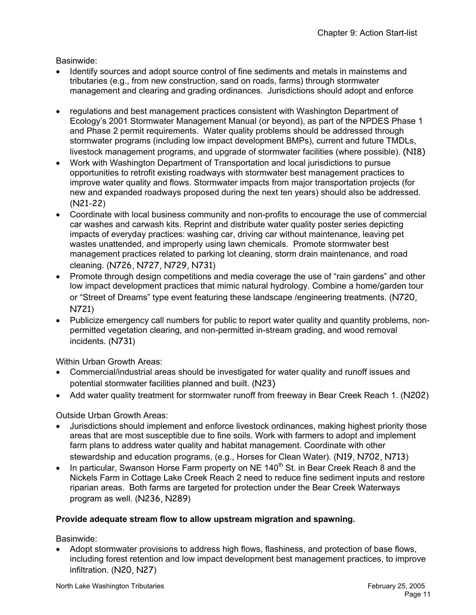Basinwide:

- Identify sources and adopt source control of fine sediments and metals in mainstems and tributaries (e.g., from new construction, sand on roads, farms) through stormwater management and clearing and grading ordinances. Jurisdictions should adopt and enforce
- regulations and best management practices consistent with Washington Department of Ecology's 2001 Stormwater Management Manual (or beyond), as part of the NPDES Phase 1 and Phase 2 permit requirements. Water quality problems should be addressed through stormwater programs (including low impact development BMPs), current and future TMDLs, livestock management programs, and upgrade of stormwater facilities (where possible). (N18)
- Work with Washington Department of Transportation and local jurisdictions to pursue opportunities to retrofit existing roadways with stormwater best management practices to improve water quality and flows. Stormwater impacts from major transportation projects (for new and expanded roadways proposed during the next ten years) should also be addressed. (N21-22)
- Coordinate with local business community and non-profits to encourage the use of commercial car washes and carwash kits. Reprint and distribute water quality poster series depicting impacts of everyday practices: washing car, driving car without maintenance, leaving pet wastes unattended, and improperly using lawn chemicals. Promote stormwater best management practices related to parking lot cleaning, storm drain maintenance, and road cleaning. (N726, N727, N729, N731)
- Promote through design competitions and media coverage the use of "rain gardens" and other low impact development practices that mimic natural hydrology. Combine a home/garden tour or "Street of Dreams" type event featuring these landscape /engineering treatments. (N720, N721)
- Publicize emergency call numbers for public to report water quality and quantity problems, nonpermitted vegetation clearing, and non-permitted in-stream grading, and wood removal incidents. (N731)

Within Urban Growth Areas:

- Commercial/industrial areas should be investigated for water quality and runoff issues and potential stormwater facilities planned and built. (N23)
- Add water quality treatment for stormwater runoff from freeway in Bear Creek Reach 1. (N202)

Outside Urban Growth Areas:

- Jurisdictions should implement and enforce livestock ordinances, making highest priority those areas that are most susceptible due to fine soils. Work with farmers to adopt and implement farm plans to address water quality and habitat management. Coordinate with other stewardship and education programs, (e.g., Horses for Clean Water). (N19, N702, N713)
- In particular, Swanson Horse Farm property on NE 140<sup>th</sup> St. in Bear Creek Reach 8 and the Nickels Farm in Cottage Lake Creek Reach 2 need to reduce fine sediment inputs and restore riparian areas. Both farms are targeted for protection under the Bear Creek Waterways program as well. (N236, N289)

# **Provide adequate stream flow to allow upstream migration and spawning.**

Basinwide:

• Adopt stormwater provisions to address high flows, flashiness, and protection of base flows, including forest retention and low impact development best management practices, to improve infiltration. (N20, N27)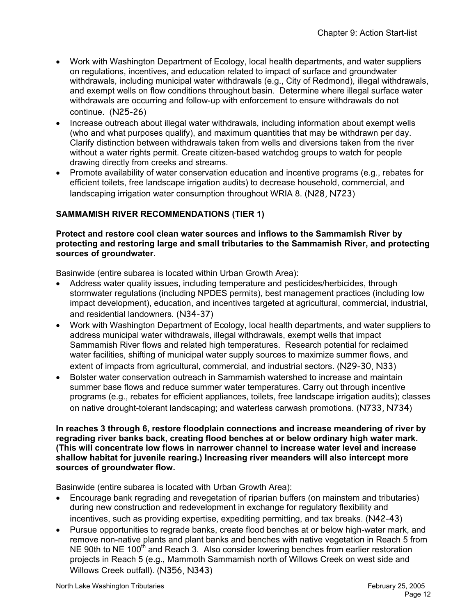- Work with Washington Department of Ecology, local health departments, and water suppliers on regulations, incentives, and education related to impact of surface and groundwater withdrawals, including municipal water withdrawals (e.g., City of Redmond), illegal withdrawals, and exempt wells on flow conditions throughout basin. Determine where illegal surface water withdrawals are occurring and follow-up with enforcement to ensure withdrawals do not continue. (N25-26)
- Increase outreach about illegal water withdrawals, including information about exempt wells (who and what purposes qualify), and maximum quantities that may be withdrawn per day. Clarify distinction between withdrawals taken from wells and diversions taken from the river without a water rights permit. Create citizen-based watchdog groups to watch for people drawing directly from creeks and streams.
- Promote availability of water conservation education and incentive programs (e.g., rebates for efficient toilets, free landscape irrigation audits) to decrease household, commercial, and landscaping irrigation water consumption throughout WRIA 8. (N28, N723)

# **SAMMAMISH RIVER RECOMMENDATIONS (TIER 1)**

#### **Protect and restore cool clean water sources and inflows to the Sammamish River by protecting and restoring large and small tributaries to the Sammamish River, and protecting sources of groundwater.**

Basinwide (entire subarea is located within Urban Growth Area):

- Address water quality issues, including temperature and pesticides/herbicides, through stormwater regulations (including NPDES permits), best management practices (including low impact development), education, and incentives targeted at agricultural, commercial, industrial, and residential landowners. (N34-37)
- Work with Washington Department of Ecology, local health departments, and water suppliers to address municipal water withdrawals, illegal withdrawals, exempt wells that impact Sammamish River flows and related high temperatures. Research potential for reclaimed water facilities, shifting of municipal water supply sources to maximize summer flows, and extent of impacts from agricultural, commercial, and industrial sectors. (N29-30, N33)
- Bolster water conservation outreach in Sammamish watershed to increase and maintain summer base flows and reduce summer water temperatures. Carry out through incentive programs (e.g., rebates for efficient appliances, toilets, free landscape irrigation audits); classes on native drought-tolerant landscaping; and waterless carwash promotions. (N733, N734)

#### **In reaches 3 through 6, restore floodplain connections and increase meandering of river by regrading river banks back, creating flood benches at or below ordinary high water mark. (This will concentrate low flows in narrower channel to increase water level and increase shallow habitat for juvenile rearing.) Increasing river meanders will also intercept more sources of groundwater flow.**

Basinwide (entire subarea is located with Urban Growth Area):

- Encourage bank regrading and revegetation of riparian buffers (on mainstem and tributaries) during new construction and redevelopment in exchange for regulatory flexibility and incentives, such as providing expertise, expediting permitting, and tax breaks. (N42-43)
- Pursue opportunities to regrade banks, create flood benches at or below high-water mark, and remove non-native plants and plant banks and benches with native vegetation in Reach 5 from NE 90th to NE 100<sup>th</sup> and Reach 3. Also consider lowering benches from earlier restoration projects in Reach 5 (e.g., Mammoth Sammamish north of Willows Creek on west side and Willows Creek outfall). (N356, N343)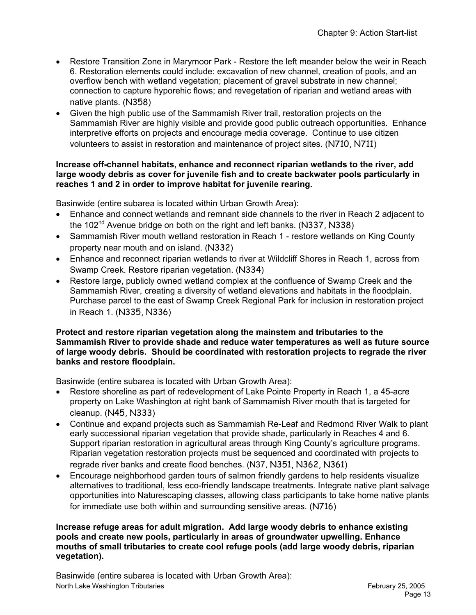- Restore Transition Zone in Marymoor Park Restore the left meander below the weir in Reach 6. Restoration elements could include: excavation of new channel, creation of pools, and an overflow bench with wetland vegetation; placement of gravel substrate in new channel; connection to capture hyporehic flows; and revegetation of riparian and wetland areas with native plants. (N358)
- Given the high public use of the Sammamish River trail, restoration projects on the Sammamish River are highly visible and provide good public outreach opportunities. Enhance interpretive efforts on projects and encourage media coverage. Continue to use citizen volunteers to assist in restoration and maintenance of project sites. (N710, N711)

### **Increase off-channel habitats, enhance and reconnect riparian wetlands to the river, add large woody debris as cover for juvenile fish and to create backwater pools particularly in reaches 1 and 2 in order to improve habitat for juvenile rearing.**

Basinwide (entire subarea is located within Urban Growth Area):

- Enhance and connect wetlands and remnant side channels to the river in Reach 2 adjacent to the 102<sup>nd</sup> Avenue bridge on both on the right and left banks. (N337, N338)
- Sammamish River mouth wetland restoration in Reach 1 restore wetlands on King County property near mouth and on island. (N332)
- Enhance and reconnect riparian wetlands to river at Wildcliff Shores in Reach 1, across from Swamp Creek. Restore riparian vegetation. (N334)
- Restore large, publicly owned wetland complex at the confluence of Swamp Creek and the Sammamish River, creating a diversity of wetland elevations and habitats in the floodplain. Purchase parcel to the east of Swamp Creek Regional Park for inclusion in restoration project in Reach 1. (N335, N336)

#### **Protect and restore riparian vegetation along the mainstem and tributaries to the Sammamish River to provide shade and reduce water temperatures as well as future source of large woody debris. Should be coordinated with restoration projects to regrade the river banks and restore floodplain.**

Basinwide (entire subarea is located with Urban Growth Area):

- Restore shoreline as part of redevelopment of Lake Pointe Property in Reach 1, a 45-acre property on Lake Washington at right bank of Sammamish River mouth that is targeted for cleanup. (N45, N333)
- Continue and expand projects such as Sammamish Re-Leaf and Redmond River Walk to plant early successional riparian vegetation that provide shade, particularly in Reaches 4 and 6. Support riparian restoration in agricultural areas through King County's agriculture programs. Riparian vegetation restoration projects must be sequenced and coordinated with projects to regrade river banks and create flood benches. (N37, N351, N362, N361)
- Encourage neighborhood garden tours of salmon friendly gardens to help residents visualize alternatives to traditional, less eco-friendly landscape treatments. Integrate native plant salvage opportunities into Naturescaping classes, allowing class participants to take home native plants for immediate use both within and surrounding sensitive areas. (N716)

#### **Increase refuge areas for adult migration. Add large woody debris to enhance existing pools and create new pools, particularly in areas of groundwater upwelling. Enhance mouths of small tributaries to create cool refuge pools (add large woody debris, riparian vegetation).**

North Lake Washington Tributaries **February 25, 2005 February 25, 2005** Basinwide (entire subarea is located with Urban Growth Area):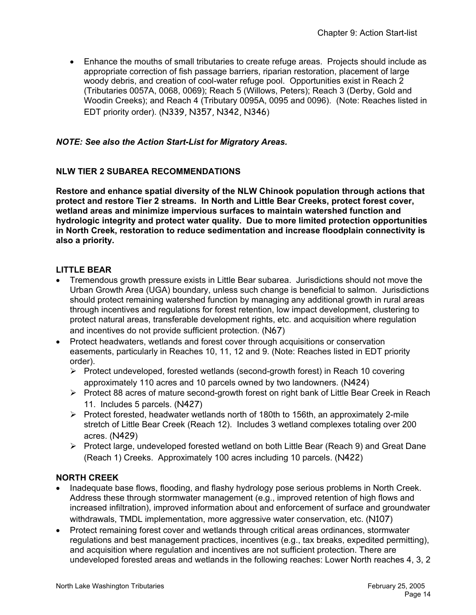• Enhance the mouths of small tributaries to create refuge areas. Projects should include as appropriate correction of fish passage barriers, riparian restoration, placement of large woody debris, and creation of cool-water refuge pool. Opportunities exist in Reach 2 (Tributaries 0057A, 0068, 0069); Reach 5 (Willows, Peters); Reach 3 (Derby, Gold and Woodin Creeks); and Reach 4 (Tributary 0095A, 0095 and 0096). (Note: Reaches listed in EDT priority order). (N339, N357, N342, N346)

# *NOTE: See also the Action Start-List for Migratory Areas.*

## **NLW TIER 2 SUBAREA RECOMMENDATIONS**

**Restore and enhance spatial diversity of the NLW Chinook population through actions that protect and restore Tier 2 streams. In North and Little Bear Creeks, protect forest cover, wetland areas and minimize impervious surfaces to maintain watershed function and hydrologic integrity and protect water quality. Due to more limited protection opportunities in North Creek, restoration to reduce sedimentation and increase floodplain connectivity is also a priority.** 

## **LITTLE BEAR**

- Tremendous growth pressure exists in Little Bear subarea. Jurisdictions should not move the Urban Growth Area (UGA) boundary, unless such change is beneficial to salmon. Jurisdictions should protect remaining watershed function by managing any additional growth in rural areas through incentives and regulations for forest retention, low impact development, clustering to protect natural areas, transferable development rights, etc. and acquisition where regulation and incentives do not provide sufficient protection. (N67)
- Protect headwaters, wetlands and forest cover through acquisitions or conservation easements, particularly in Reaches 10, 11, 12 and 9. (Note: Reaches listed in EDT priority order).
	- ¾ Protect undeveloped, forested wetlands (second-growth forest) in Reach 10 covering approximately 110 acres and 10 parcels owned by two landowners. (N424)
	- ¾ Protect 88 acres of mature second-growth forest on right bank of Little Bear Creek in Reach 11. Includes 5 parcels. (N427)
	- ¾ Protect forested, headwater wetlands north of 180th to 156th, an approximately 2-mile stretch of Little Bear Creek (Reach 12). Includes 3 wetland complexes totaling over 200 acres. (N429)
	- ¾ Protect large, undeveloped forested wetland on both Little Bear (Reach 9) and Great Dane (Reach 1) Creeks. Approximately 100 acres including 10 parcels. (N422)

### **NORTH CREEK**

- Inadequate base flows, flooding, and flashy hydrology pose serious problems in North Creek. Address these through stormwater management (e.g., improved retention of high flows and increased infiltration), improved information about and enforcement of surface and groundwater withdrawals, TMDL implementation, more aggressive water conservation, etc. (N107)
- Protect remaining forest cover and wetlands through critical areas ordinances, stormwater regulations and best management practices, incentives (e.g., tax breaks, expedited permitting), and acquisition where regulation and incentives are not sufficient protection. There are undeveloped forested areas and wetlands in the following reaches: Lower North reaches 4, 3, 2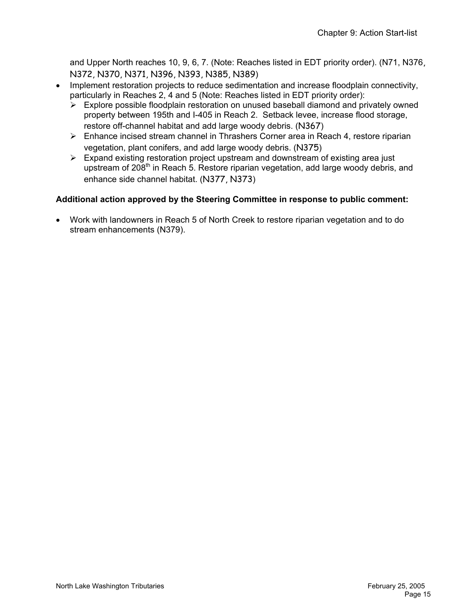and Upper North reaches 10, 9, 6, 7. (Note: Reaches listed in EDT priority order). (N71, N376, N372, N370, N371, N396, N393, N385, N389)

- Implement restoration projects to reduce sedimentation and increase floodplain connectivity, particularly in Reaches 2, 4 and 5 (Note: Reaches listed in EDT priority order):
	- $\triangleright$  Explore possible floodplain restoration on unused baseball diamond and privately owned property between 195th and I-405 in Reach 2. Setback levee, increase flood storage, restore off-channel habitat and add large woody debris. (N367)
	- $\triangleright$  Enhance incised stream channel in Thrashers Corner area in Reach 4, restore riparian vegetation, plant conifers, and add large woody debris. (N375)
	- $\triangleright$  Expand existing restoration project upstream and downstream of existing area just upstream of 208<sup>th</sup> in Reach 5. Restore riparian vegetation, add large woody debris, and enhance side channel habitat. (N377, N373)

### **Additional action approved by the Steering Committee in response to public comment:**

• Work with landowners in Reach 5 of North Creek to restore riparian vegetation and to do stream enhancements (N379).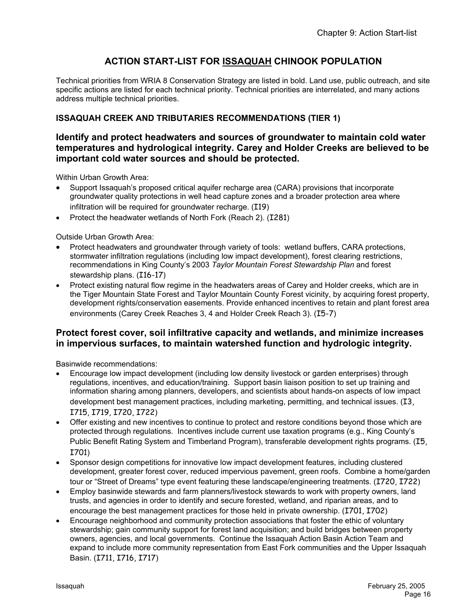# **ACTION START-LIST FOR ISSAQUAH CHINOOK POPULATION**

Technical priorities from WRIA 8 Conservation Strategy are listed in bold. Land use, public outreach, and site specific actions are listed for each technical priority. Technical priorities are interrelated, and many actions address multiple technical priorities.

# **ISSAQUAH CREEK AND TRIBUTARIES RECOMMENDATIONS (TIER 1)**

## **Identify and protect headwaters and sources of groundwater to maintain cold water temperatures and hydrological integrity. Carey and Holder Creeks are believed to be important cold water sources and should be protected.**

Within Urban Growth Area:

- Support Issaquah's proposed critical aquifer recharge area (CARA) provisions that incorporate groundwater quality protections in well head capture zones and a broader protection area where infiltration will be required for groundwater recharge. (I19)
- Protect the headwater wetlands of North Fork (Reach 2). (I281)

Outside Urban Growth Area:

- Protect headwaters and groundwater through variety of tools: wetland buffers, CARA protections, stormwater infiltration regulations (including low impact development), forest clearing restrictions, recommendations in King County's 2003 *Taylor Mountain Forest Stewardship Plan* and forest stewardship plans. (I16-17)
- Protect existing natural flow regime in the headwaters areas of Carey and Holder creeks, which are in the Tiger Mountain State Forest and Taylor Mountain County Forest vicinity, by acquiring forest property, development rights/conservation easements. Provide enhanced incentives to retain and plant forest area environments (Carey Creek Reaches 3, 4 and Holder Creek Reach 3). (I5-7)

## **Protect forest cover, soil infiltrative capacity and wetlands, and minimize increases in impervious surfaces, to maintain watershed function and hydrologic integrity.**

Basinwide recommendations:

- Encourage low impact development (including low density livestock or garden enterprises) through regulations, incentives, and education/training. Support basin liaison position to set up training and information sharing among planners, developers, and scientists about hands-on aspects of low impact development best management practices, including marketing, permitting, and technical issues. (I3, I715, I719, I720, I722)
- Offer existing and new incentives to continue to protect and restore conditions beyond those which are protected through regulations. Incentives include current use taxation programs (e.g., King County's Public Benefit Rating System and Timberland Program), transferable development rights programs. (I5, I701)
- Sponsor design competitions for innovative low impact development features, including clustered development, greater forest cover, reduced impervious pavement, green roofs. Combine a home/garden tour or "Street of Dreams" type event featuring these landscape/engineering treatments. (I720, I722)
- Employ basinwide stewards and farm planners/livestock stewards to work with property owners, land trusts, and agencies in order to identify and secure forested, wetland, and riparian areas, and to encourage the best management practices for those held in private ownership. (I701, I702)
- Encourage neighborhood and community protection associations that foster the ethic of voluntary stewardship; gain community support for forest land acquisition; and build bridges between property owners, agencies, and local governments. Continue the Issaquah Action Basin Action Team and expand to include more community representation from East Fork communities and the Upper Issaquah Basin. (I711, I716, I717)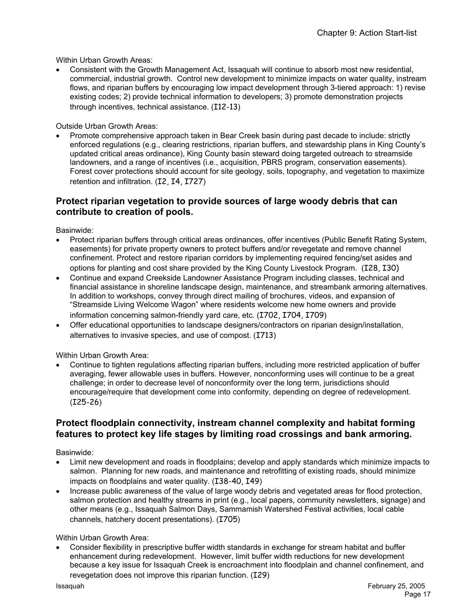Within Urban Growth Areas:

• Consistent with the Growth Management Act, Issaquah will continue to absorb most new residential, commercial, industrial growth. Control new development to minimize impacts on water quality, instream flows, and riparian buffers by encouraging low impact development through 3-tiered approach: 1) revise existing codes; 2) provide technical information to developers; 3) promote demonstration projects through incentives, technical assistance. (I12-13)

Outside Urban Growth Areas:

• Promote comprehensive approach taken in Bear Creek basin during past decade to include: strictly enforced regulations (e.g., clearing restrictions, riparian buffers, and stewardship plans in King County's updated critical areas ordinance), King County basin steward doing targeted outreach to streamside landowners, and a range of incentives (i.e., acquisition, PBRS program, conservation easements). Forest cover protections should account for site geology, soils, topography, and vegetation to maximize retention and infiltration. (I2, I4, I727)

## **Protect riparian vegetation to provide sources of large woody debris that can contribute to creation of pools.**

Basinwide:

- Protect riparian buffers through critical areas ordinances, offer incentives (Public Benefit Rating System, easements) for private property owners to protect buffers and/or revegetate and remove channel confinement. Protect and restore riparian corridors by implementing required fencing/set asides and options for planting and cost share provided by the King County Livestock Program. (I28, I30)
- Continue and expand Creekside Landowner Assistance Program including classes, technical and financial assistance in shoreline landscape design, maintenance, and streambank armoring alternatives. In addition to workshops, convey through direct mailing of brochures, videos, and expansion of "Streamside Living Welcome Wagon" where residents welcome new home owners and provide information concerning salmon-friendly yard care, etc. (I702, I704, I709)
- Offer educational opportunities to landscape designers/contractors on riparian design/installation, alternatives to invasive species, and use of compost. (I713)

Within Urban Growth Area:

• Continue to tighten regulations affecting riparian buffers, including more restricted application of buffer averaging, fewer allowable uses in buffers. However, nonconforming uses will continue to be a great challenge; in order to decrease level of nonconformity over the long term, jurisdictions should encourage/require that development come into conformity, depending on degree of redevelopment. (I25-26)

## **Protect floodplain connectivity, instream channel complexity and habitat forming features to protect key life stages by limiting road crossings and bank armoring.**

Basinwide:

- Limit new development and roads in floodplains; develop and apply standards which minimize impacts to salmon. Planning for new roads, and maintenance and retrofitting of existing roads, should minimize impacts on floodplains and water quality. (I38-40, I49)
- Increase public awareness of the value of large woody debris and vegetated areas for flood protection, salmon protection and healthy streams in print (e.g., local papers, community newsletters, signage) and other means (e.g., Issaquah Salmon Days, Sammamish Watershed Festival activities, local cable channels, hatchery docent presentations). (I705)

Within Urban Growth Area:

• Consider flexibility in prescriptive buffer width standards in exchange for stream habitat and buffer enhancement during redevelopment. However, limit buffer width reductions for new development because a key issue for Issaquah Creek is encroachment into floodplain and channel confinement, and revegetation does not improve this riparian function. (I29)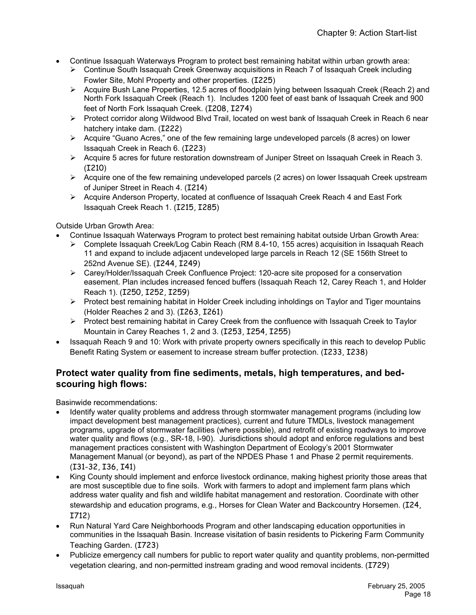- Continue Issaquah Waterways Program to protect best remaining habitat within urban growth area:
	- ¾ Continue South Issaquah Creek Greenway acquisitions in Reach 7 of Issaquah Creek including Fowler Site, Mohl Property and other properties. (I225)
	- ¾ Acquire Bush Lane Properties, 12.5 acres of floodplain lying between Issaquah Creek (Reach 2) and North Fork Issaquah Creek (Reach 1). Includes 1200 feet of east bank of Issaquah Creek and 900 feet of North Fork Issaquah Creek. (I208, I274)
	- ¾ Protect corridor along Wildwood Blvd Trail, located on west bank of Issaquah Creek in Reach 6 near hatchery intake dam. (I222)
	- $\triangleright$  Acquire "Guano Acres," one of the few remaining large undeveloped parcels (8 acres) on lower Issaquah Creek in Reach 6. (I223)
	- $\triangleright$  Acquire 5 acres for future restoration downstream of Juniper Street on Issaquah Creek in Reach 3. (I210)
	- ¾ Acquire one of the few remaining undeveloped parcels (2 acres) on lower Issaquah Creek upstream of Juniper Street in Reach 4. (I214)
	- ¾ Acquire Anderson Property, located at confluence of Issaquah Creek Reach 4 and East Fork Issaquah Creek Reach 1. (I215, I285)

Outside Urban Growth Area:

- Continue Issaquah Waterways Program to protect best remaining habitat outside Urban Growth Area:
	- ¾ Complete Issaquah Creek/Log Cabin Reach (RM 8.4-10, 155 acres) acquisition in Issaquah Reach 11 and expand to include adjacent undeveloped large parcels in Reach 12 (SE 156th Street to 252nd Avenue SE). (I244, I249)
	- ¾ Carey/Holder/Issaquah Creek Confluence Project: 120-acre site proposed for a conservation easement. Plan includes increased fenced buffers (Issaquah Reach 12, Carey Reach 1, and Holder Reach 1). (I250, I252, I259)
	- ¾ Protect best remaining habitat in Holder Creek including inholdings on Taylor and Tiger mountains (Holder Reaches 2 and 3). (I263, I261)
	- $\triangleright$  Protect best remaining habitat in Carey Creek from the confluence with Issaquah Creek to Taylor Mountain in Carey Reaches 1, 2 and 3. (I253, I254, I255)
- Issaquah Reach 9 and 10: Work with private property owners specifically in this reach to develop Public Benefit Rating System or easement to increase stream buffer protection. (I233, I238)

# **Protect water quality from fine sediments, metals, high temperatures, and bedscouring high flows:**

Basinwide recommendations:

- Identify water quality problems and address through stormwater management programs (including low impact development best management practices), current and future TMDLs, livestock management programs, upgrade of stormwater facilities (where possible), and retrofit of existing roadways to improve water quality and flows (e.g., SR-18, I-90). Jurisdictions should adopt and enforce regulations and best management practices consistent with Washington Department of Ecology's 2001 Stormwater Management Manual (or beyond), as part of the NPDES Phase 1 and Phase 2 permit requirements. (I31-32, I36, I41)
- King County should implement and enforce livestock ordinance, making highest priority those areas that are most susceptible due to fine soils. Work with farmers to adopt and implement farm plans which address water quality and fish and wildlife habitat management and restoration. Coordinate with other stewardship and education programs, e.g., Horses for Clean Water and Backcountry Horsemen. (I24, I712)
- Run Natural Yard Care Neighborhoods Program and other landscaping education opportunities in communities in the Issaquah Basin. Increase visitation of basin residents to Pickering Farm Community Teaching Garden. (I723)
- Publicize emergency call numbers for public to report water quality and quantity problems, non-permitted vegetation clearing, and non-permitted instream grading and wood removal incidents. (I729)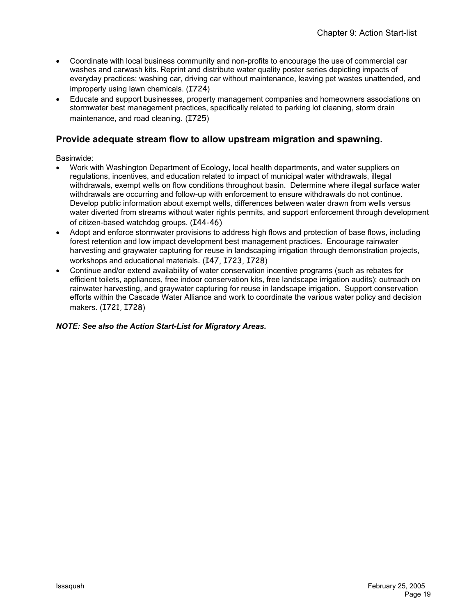- Coordinate with local business community and non-profits to encourage the use of commercial car washes and carwash kits. Reprint and distribute water quality poster series depicting impacts of everyday practices: washing car, driving car without maintenance, leaving pet wastes unattended, and improperly using lawn chemicals. (I724)
- Educate and support businesses, property management companies and homeowners associations on stormwater best management practices, specifically related to parking lot cleaning, storm drain maintenance, and road cleaning. (I725)

# **Provide adequate stream flow to allow upstream migration and spawning.**

Basinwide:

- Work with Washington Department of Ecology, local health departments, and water suppliers on regulations, incentives, and education related to impact of municipal water withdrawals, illegal withdrawals, exempt wells on flow conditions throughout basin. Determine where illegal surface water withdrawals are occurring and follow-up with enforcement to ensure withdrawals do not continue. Develop public information about exempt wells, differences between water drawn from wells versus water diverted from streams without water rights permits, and support enforcement through development of citizen-based watchdog groups. (I44-46)
- Adopt and enforce stormwater provisions to address high flows and protection of base flows, including forest retention and low impact development best management practices. Encourage rainwater harvesting and graywater capturing for reuse in landscaping irrigation through demonstration projects, workshops and educational materials. (I47, I723, I728)
- Continue and/or extend availability of water conservation incentive programs (such as rebates for efficient toilets, appliances, free indoor conservation kits, free landscape irrigation audits); outreach on rainwater harvesting, and graywater capturing for reuse in landscape irrigation. Support conservation efforts within the Cascade Water Alliance and work to coordinate the various water policy and decision makers. (I721, I728)

#### *NOTE: See also the Action Start-List for Migratory Areas.*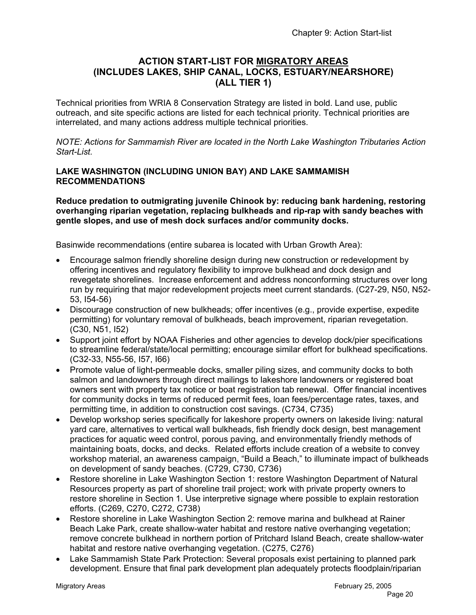# **ACTION START-LIST FOR MIGRATORY AREAS (INCLUDES LAKES, SHIP CANAL, LOCKS, ESTUARY/NEARSHORE) (ALL TIER 1)**

Technical priorities from WRIA 8 Conservation Strategy are listed in bold. Land use, public outreach, and site specific actions are listed for each technical priority. Technical priorities are interrelated, and many actions address multiple technical priorities.

*NOTE: Actions for Sammamish River are located in the North Lake Washington Tributaries Action Start-List.* 

#### **LAKE WASHINGTON (INCLUDING UNION BAY) AND LAKE SAMMAMISH RECOMMENDATIONS**

**Reduce predation to outmigrating juvenile Chinook by: reducing bank hardening, restoring overhanging riparian vegetation, replacing bulkheads and rip-rap with sandy beaches with gentle slopes, and use of mesh dock surfaces and/or community docks.** 

Basinwide recommendations (entire subarea is located with Urban Growth Area):

- Encourage salmon friendly shoreline design during new construction or redevelopment by offering incentives and regulatory flexibility to improve bulkhead and dock design and revegetate shorelines. Increase enforcement and address nonconforming structures over long run by requiring that major redevelopment projects meet current standards. (C27-29, N50, N52- 53, I54-56)
- Discourage construction of new bulkheads; offer incentives (e.g., provide expertise, expedite permitting) for voluntary removal of bulkheads, beach improvement, riparian revegetation. (C30, N51, I52)
- Support joint effort by NOAA Fisheries and other agencies to develop dock/pier specifications to streamline federal/state/local permitting; encourage similar effort for bulkhead specifications. (C32-33, N55-56, I57, I66)
- Promote value of light-permeable docks, smaller piling sizes, and community docks to both salmon and landowners through direct mailings to lakeshore landowners or registered boat owners sent with property tax notice or boat registration tab renewal. Offer financial incentives for community docks in terms of reduced permit fees, loan fees/percentage rates, taxes, and permitting time, in addition to construction cost savings. (C734, C735)
- Develop workshop series specifically for lakeshore property owners on lakeside living: natural yard care, alternatives to vertical wall bulkheads, fish friendly dock design, best management practices for aquatic weed control, porous paving, and environmentally friendly methods of maintaining boats, docks, and decks. Related efforts include creation of a website to convey workshop material, an awareness campaign, "Build a Beach," to illuminate impact of bulkheads on development of sandy beaches. (C729, C730, C736)
- Restore shoreline in Lake Washington Section 1: restore Washington Department of Natural Resources property as part of shoreline trail project; work with private property owners to restore shoreline in Section 1. Use interpretive signage where possible to explain restoration efforts. (C269, C270, C272, C738)
- Restore shoreline in Lake Washington Section 2: remove marina and bulkhead at Rainer Beach Lake Park, create shallow-water habitat and restore native overhanging vegetation; remove concrete bulkhead in northern portion of Pritchard Island Beach, create shallow-water habitat and restore native overhanging vegetation. (C275, C276)
- Lake Sammamish State Park Protection: Several proposals exist pertaining to planned park development. Ensure that final park development plan adequately protects floodplain/riparian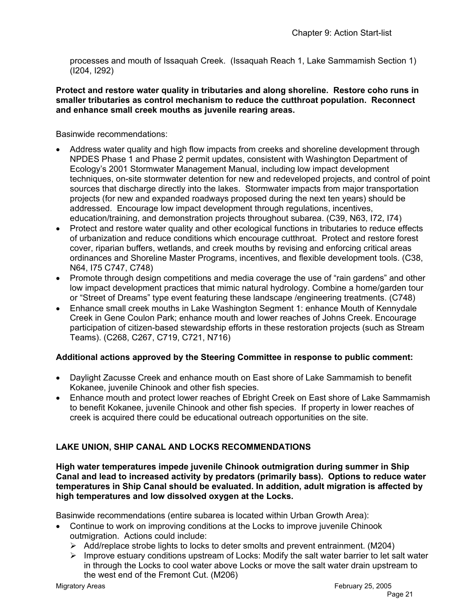processes and mouth of Issaquah Creek. (Issaquah Reach 1, Lake Sammamish Section 1) (I204, I292)

#### **Protect and restore water quality in tributaries and along shoreline. Restore coho runs in smaller tributaries as control mechanism to reduce the cutthroat population. Reconnect and enhance small creek mouths as juvenile rearing areas.**

Basinwide recommendations:

- Address water quality and high flow impacts from creeks and shoreline development through NPDES Phase 1 and Phase 2 permit updates, consistent with Washington Department of Ecology's 2001 Stormwater Management Manual, including low impact development techniques, on-site stormwater detention for new and redeveloped projects, and control of point sources that discharge directly into the lakes. Stormwater impacts from major transportation projects (for new and expanded roadways proposed during the next ten years) should be addressed. Encourage low impact development through regulations, incentives, education/training, and demonstration projects throughout subarea. (C39, N63, I72, I74)
- Protect and restore water quality and other ecological functions in tributaries to reduce effects of urbanization and reduce conditions which encourage cutthroat. Protect and restore forest cover, riparian buffers, wetlands, and creek mouths by revising and enforcing critical areas ordinances and Shoreline Master Programs, incentives, and flexible development tools. (C38, N64, I75 C747, C748)
- Promote through design competitions and media coverage the use of "rain gardens" and other low impact development practices that mimic natural hydrology. Combine a home/garden tour or "Street of Dreams" type event featuring these landscape /engineering treatments. (C748)
- Enhance small creek mouths in Lake Washington Segment 1: enhance Mouth of Kennydale Creek in Gene Coulon Park; enhance mouth and lower reaches of Johns Creek. Encourage participation of citizen-based stewardship efforts in these restoration projects (such as Stream Teams). (C268, C267, C719, C721, N716)

# **Additional actions approved by the Steering Committee in response to public comment:**

- Daylight Zacusse Creek and enhance mouth on East shore of Lake Sammamish to benefit Kokanee, juvenile Chinook and other fish species.
- Enhance mouth and protect lower reaches of Ebright Creek on East shore of Lake Sammamish to benefit Kokanee, juvenile Chinook and other fish species. If property in lower reaches of creek is acquired there could be educational outreach opportunities on the site.

# **LAKE UNION, SHIP CANAL AND LOCKS RECOMMENDATIONS**

**High water temperatures impede juvenile Chinook outmigration during summer in Ship Canal and lead to increased activity by predators (primarily bass). Options to reduce water temperatures in Ship Canal should be evaluated. In addition, adult migration is affected by high temperatures and low dissolved oxygen at the Locks.** 

Basinwide recommendations (entire subarea is located within Urban Growth Area):

- Continue to work on improving conditions at the Locks to improve juvenile Chinook outmigration. Actions could include:
	- $\triangleright$  Add/replace strobe lights to locks to deter smolts and prevent entrainment. (M204)
	- $\triangleright$  Improve estuary conditions upstream of Locks: Modify the salt water barrier to let salt water in through the Locks to cool water above Locks or move the salt water drain upstream to the west end of the Fremont Cut. (M206)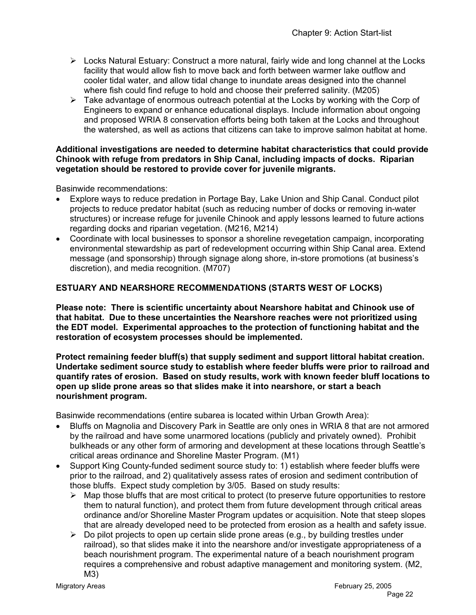- $\triangleright$  Locks Natural Estuary: Construct a more natural, fairly wide and long channel at the Locks facility that would allow fish to move back and forth between warmer lake outflow and cooler tidal water, and allow tidal change to inundate areas designed into the channel where fish could find refuge to hold and choose their preferred salinity. (M205)
- $\triangleright$  Take advantage of enormous outreach potential at the Locks by working with the Corp of Engineers to expand or enhance educational displays. Include information about ongoing and proposed WRIA 8 conservation efforts being both taken at the Locks and throughout the watershed, as well as actions that citizens can take to improve salmon habitat at home.

#### **Additional investigations are needed to determine habitat characteristics that could provide Chinook with refuge from predators in Ship Canal, including impacts of docks. Riparian vegetation should be restored to provide cover for juvenile migrants.**

Basinwide recommendations:

- Explore ways to reduce predation in Portage Bay, Lake Union and Ship Canal. Conduct pilot projects to reduce predator habitat (such as reducing number of docks or removing in-water structures) or increase refuge for juvenile Chinook and apply lessons learned to future actions regarding docks and riparian vegetation. (M216, M214)
- Coordinate with local businesses to sponsor a shoreline revegetation campaign, incorporating environmental stewardship as part of redevelopment occurring within Ship Canal area. Extend message (and sponsorship) through signage along shore, in-store promotions (at business's discretion), and media recognition. (M707)

## **ESTUARY AND NEARSHORE RECOMMENDATIONS (STARTS WEST OF LOCKS)**

**Please note: There is scientific uncertainty about Nearshore habitat and Chinook use of that habitat. Due to these uncertainties the Nearshore reaches were not prioritized using the EDT model. Experimental approaches to the protection of functioning habitat and the restoration of ecosystem processes should be implemented.** 

**Protect remaining feeder bluff(s) that supply sediment and support littoral habitat creation. Undertake sediment source study to establish where feeder bluffs were prior to railroad and quantify rates of erosion. Based on study results, work with known feeder bluff locations to open up slide prone areas so that slides make it into nearshore, or start a beach nourishment program.** 

Basinwide recommendations (entire subarea is located within Urban Growth Area):

- Bluffs on Magnolia and Discovery Park in Seattle are only ones in WRIA 8 that are not armored by the railroad and have some unarmored locations (publicly and privately owned). Prohibit bulkheads or any other form of armoring and development at these locations through Seattle's critical areas ordinance and Shoreline Master Program. (M1)
- Support King County-funded sediment source study to: 1) establish where feeder bluffs were prior to the railroad, and 2) qualitatively assess rates of erosion and sediment contribution of those bluffs. Expect study completion by 3/05. Based on study results:
	- $\triangleright$  Map those bluffs that are most critical to protect (to preserve future opportunities to restore them to natural function), and protect them from future development through critical areas ordinance and/or Shoreline Master Program updates or acquisition. Note that steep slopes that are already developed need to be protected from erosion as a health and safety issue.
	- $\triangleright$  Do pilot projects to open up certain slide prone areas (e.g., by building trestles under railroad), so that slides make it into the nearshore and/or investigate appropriateness of a beach nourishment program. The experimental nature of a beach nourishment program requires a comprehensive and robust adaptive management and monitoring system. (M2, M3)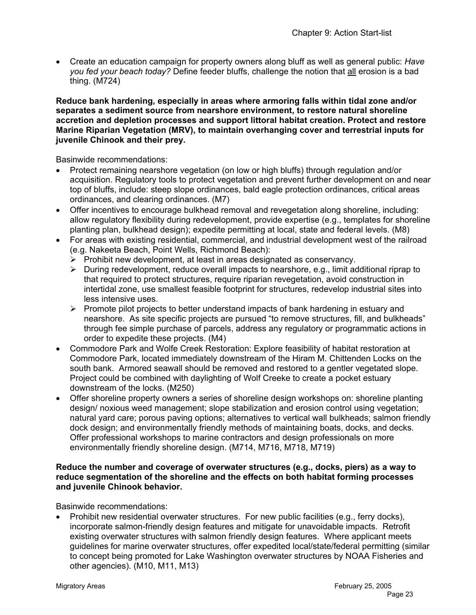• Create an education campaign for property owners along bluff as well as general public: *Have you fed your beach today?* Define feeder bluffs, challenge the notion that all erosion is a bad thing. (M724)

**Reduce bank hardening, especially in areas where armoring falls within tidal zone and/or separates a sediment source from nearshore environment, to restore natural shoreline accretion and depletion processes and support littoral habitat creation. Protect and restore Marine Riparian Vegetation (MRV), to maintain overhanging cover and terrestrial inputs for juvenile Chinook and their prey.** 

Basinwide recommendations:

- Protect remaining nearshore vegetation (on low or high bluffs) through regulation and/or acquisition. Regulatory tools to protect vegetation and prevent further development on and near top of bluffs, include: steep slope ordinances, bald eagle protection ordinances, critical areas ordinances, and clearing ordinances. (M7)
- Offer incentives to encourage bulkhead removal and revegetation along shoreline, including: allow regulatory flexibility during redevelopment, provide expertise (e.g., templates for shoreline planting plan, bulkhead design); expedite permitting at local, state and federal levels. (M8)
- For areas with existing residential, commercial, and industrial development west of the railroad (e.g. Nakeeta Beach, Point Wells, Richmond Beach):
	- $\triangleright$  Prohibit new development, at least in areas designated as conservancy.
	- $\triangleright$  During redevelopment, reduce overall impacts to nearshore, e.g., limit additional riprap to that required to protect structures, require riparian revegetation, avoid construction in intertidal zone, use smallest feasible footprint for structures, redevelop industrial sites into less intensive uses.
	- $\triangleright$  Promote pilot projects to better understand impacts of bank hardening in estuary and nearshore. As site specific projects are pursued "to remove structures, fill, and bulkheads" through fee simple purchase of parcels, address any regulatory or programmatic actions in order to expedite these projects. (M4)
- Commodore Park and Wolfe Creek Restoration: Explore feasibility of habitat restoration at Commodore Park, located immediately downstream of the Hiram M. Chittenden Locks on the south bank. Armored seawall should be removed and restored to a gentler vegetated slope. Project could be combined with daylighting of Wolf Creeke to create a pocket estuary downstream of the locks. (M250)
- Offer shoreline property owners a series of shoreline design workshops on: shoreline planting design/ noxious weed management; slope stabilization and erosion control using vegetation; natural yard care; porous paving options; alternatives to vertical wall bulkheads; salmon friendly dock design; and environmentally friendly methods of maintaining boats, docks, and decks. Offer professional workshops to marine contractors and design professionals on more environmentally friendly shoreline design. (M714, M716, M718, M719)

#### **Reduce the number and coverage of overwater structures (e.g., docks, piers) as a way to reduce segmentation of the shoreline and the effects on both habitat forming processes and juvenile Chinook behavior.**

Basinwide recommendations:

• Prohibit new residential overwater structures. For new public facilities (e.g., ferry docks), incorporate salmon-friendly design features and mitigate for unavoidable impacts. Retrofit existing overwater structures with salmon friendly design features. Where applicant meets guidelines for marine overwater structures, offer expedited local/state/federal permitting (similar to concept being promoted for Lake Washington overwater structures by NOAA Fisheries and other agencies). (M10, M11, M13)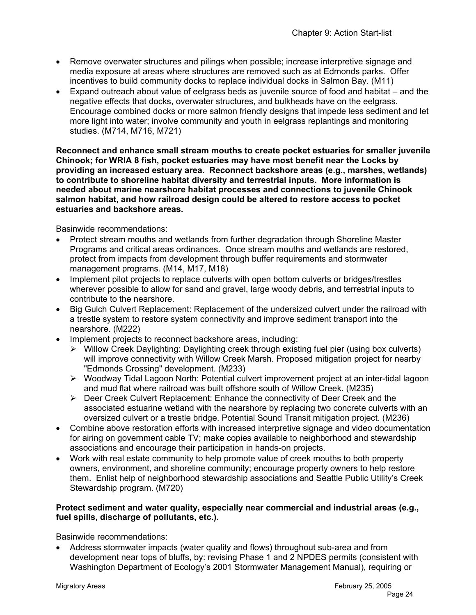- Remove overwater structures and pilings when possible; increase interpretive signage and media exposure at areas where structures are removed such as at Edmonds parks. Offer incentives to build community docks to replace individual docks in Salmon Bay. (M11)
- Expand outreach about value of eelgrass beds as juvenile source of food and habitat and the negative effects that docks, overwater structures, and bulkheads have on the eelgrass. Encourage combined docks or more salmon friendly designs that impede less sediment and let more light into water; involve community and youth in eelgrass replantings and monitoring studies. (M714, M716, M721)

**Reconnect and enhance small stream mouths to create pocket estuaries for smaller juvenile Chinook; for WRIA 8 fish, pocket estuaries may have most benefit near the Locks by providing an increased estuary area. Reconnect backshore areas (e.g., marshes, wetlands) to contribute to shoreline habitat diversity and terrestrial inputs. More information is needed about marine nearshore habitat processes and connections to juvenile Chinook salmon habitat, and how railroad design could be altered to restore access to pocket estuaries and backshore areas.** 

Basinwide recommendations:

- Protect stream mouths and wetlands from further degradation through Shoreline Master Programs and critical areas ordinances. Once stream mouths and wetlands are restored, protect from impacts from development through buffer requirements and stormwater management programs. (M14, M17, M18)
- Implement pilot projects to replace culverts with open bottom culverts or bridges/trestles wherever possible to allow for sand and gravel, large woody debris, and terrestrial inputs to contribute to the nearshore.
- Big Gulch Culvert Replacement: Replacement of the undersized culvert under the railroad with a trestle system to restore system connectivity and improve sediment transport into the nearshore. (M222)
- Implement projects to reconnect backshore areas, including:
	- ¾ Willow Creek Daylighting: Daylighting creek through existing fuel pier (using box culverts) will improve connectivity with Willow Creek Marsh. Proposed mitigation project for nearby "Edmonds Crossing" development. (M233)
	- ¾ Woodway Tidal Lagoon North: Potential culvert improvement project at an inter-tidal lagoon and mud flat where railroad was built offshore south of Willow Creek. (M235)
	- $\triangleright$  Deer Creek Culvert Replacement: Enhance the connectivity of Deer Creek and the associated estuarine wetland with the nearshore by replacing two concrete culverts with an oversized culvert or a trestle bridge. Potential Sound Transit mitigation project. (M236)
- Combine above restoration efforts with increased interpretive signage and video documentation for airing on government cable TV; make copies available to neighborhood and stewardship associations and encourage their participation in hands-on projects.
- Work with real estate community to help promote value of creek mouths to both property owners, environment, and shoreline community; encourage property owners to help restore them. Enlist help of neighborhood stewardship associations and Seattle Public Utility's Creek Stewardship program. (M720)

#### **Protect sediment and water quality, especially near commercial and industrial areas (e.g., fuel spills, discharge of pollutants, etc.).**

Basinwide recommendations:

• Address stormwater impacts (water quality and flows) throughout sub-area and from development near tops of bluffs, by: revising Phase 1 and 2 NPDES permits (consistent with Washington Department of Ecology's 2001 Stormwater Management Manual), requiring or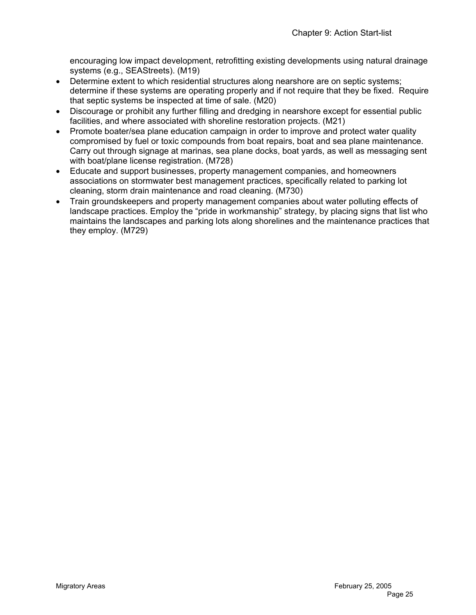encouraging low impact development, retrofitting existing developments using natural drainage systems (e.g., SEAStreets). (M19)

- Determine extent to which residential structures along nearshore are on septic systems; determine if these systems are operating properly and if not require that they be fixed. Require that septic systems be inspected at time of sale. (M20)
- Discourage or prohibit any further filling and dredging in nearshore except for essential public facilities, and where associated with shoreline restoration projects. (M21)
- Promote boater/sea plane education campaign in order to improve and protect water quality compromised by fuel or toxic compounds from boat repairs, boat and sea plane maintenance. Carry out through signage at marinas, sea plane docks, boat yards, as well as messaging sent with boat/plane license registration. (M728)
- Educate and support businesses, property management companies, and homeowners associations on stormwater best management practices, specifically related to parking lot cleaning, storm drain maintenance and road cleaning. (M730)
- Train groundskeepers and property management companies about water polluting effects of landscape practices. Employ the "pride in workmanship" strategy, by placing signs that list who maintains the landscapes and parking lots along shorelines and the maintenance practices that they employ. (M729)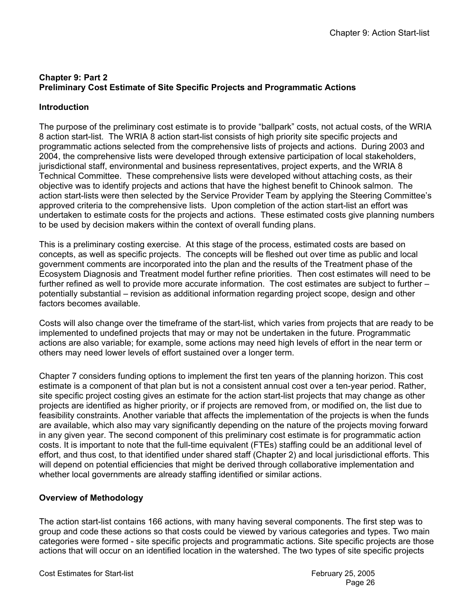# **Chapter 9: Part 2 Preliminary Cost Estimate of Site Specific Projects and Programmatic Actions**

### **Introduction**

The purpose of the preliminary cost estimate is to provide "ballpark" costs, not actual costs, of the WRIA 8 action start-list. The WRIA 8 action start-list consists of high priority site specific projects and programmatic actions selected from the comprehensive lists of projects and actions. During 2003 and 2004, the comprehensive lists were developed through extensive participation of local stakeholders, jurisdictional staff, environmental and business representatives, project experts, and the WRIA 8 Technical Committee. These comprehensive lists were developed without attaching costs, as their objective was to identify projects and actions that have the highest benefit to Chinook salmon. The action start-lists were then selected by the Service Provider Team by applying the Steering Committee's approved criteria to the comprehensive lists. Upon completion of the action start-list an effort was undertaken to estimate costs for the projects and actions. These estimated costs give planning numbers to be used by decision makers within the context of overall funding plans.

This is a preliminary costing exercise. At this stage of the process, estimated costs are based on concepts, as well as specific projects. The concepts will be fleshed out over time as public and local government comments are incorporated into the plan and the results of the Treatment phase of the Ecosystem Diagnosis and Treatment model further refine priorities. Then cost estimates will need to be further refined as well to provide more accurate information. The cost estimates are subject to further – potentially substantial – revision as additional information regarding project scope, design and other factors becomes available.

Costs will also change over the timeframe of the start-list, which varies from projects that are ready to be implemented to undefined projects that may or may not be undertaken in the future. Programmatic actions are also variable; for example, some actions may need high levels of effort in the near term or others may need lower levels of effort sustained over a longer term.

Chapter 7 considers funding options to implement the first ten years of the planning horizon. This cost estimate is a component of that plan but is not a consistent annual cost over a ten-year period. Rather, site specific project costing gives an estimate for the action start-list projects that may change as other projects are identified as higher priority, or if projects are removed from, or modified on, the list due to feasibility constraints. Another variable that affects the implementation of the projects is when the funds are available, which also may vary significantly depending on the nature of the projects moving forward in any given year. The second component of this preliminary cost estimate is for programmatic action costs. It is important to note that the full-time equivalent (FTEs) staffing could be an additional level of effort, and thus cost, to that identified under shared staff (Chapter 2) and local jurisdictional efforts. This will depend on potential efficiencies that might be derived through collaborative implementation and whether local governments are already staffing identified or similar actions.

# **Overview of Methodology**

The action start-list contains 166 actions, with many having several components. The first step was to group and code these actions so that costs could be viewed by various categories and types. Two main categories were formed - site specific projects and programmatic actions. Site specific projects are those actions that will occur on an identified location in the watershed. The two types of site specific projects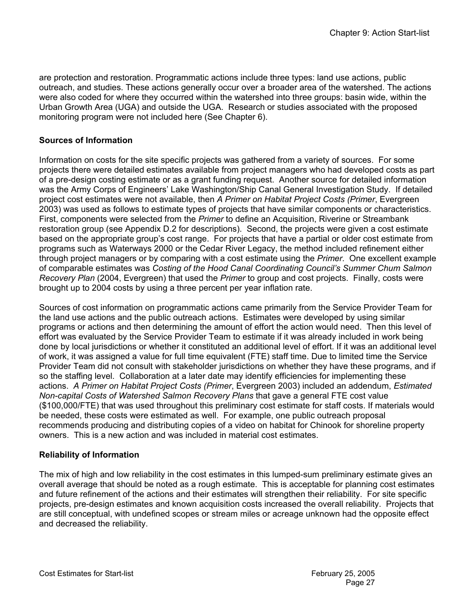are protection and restoration. Programmatic actions include three types: land use actions, public outreach, and studies. These actions generally occur over a broader area of the watershed. The actions were also coded for where they occurred within the watershed into three groups: basin wide, within the Urban Growth Area (UGA) and outside the UGA. Research or studies associated with the proposed monitoring program were not included here (See Chapter 6).

# **Sources of Information**

Information on costs for the site specific projects was gathered from a variety of sources. For some projects there were detailed estimates available from project managers who had developed costs as part of a pre-design costing estimate or as a grant funding request. Another source for detailed information was the Army Corps of Engineers' Lake Washington/Ship Canal General Investigation Study. If detailed project cost estimates were not available, then *A Primer on Habitat Project Costs (Primer*, Evergreen 2003) was used as follows to estimate types of projects that have similar components or characteristics. First, components were selected from the *Primer* to define an Acquisition, Riverine or Streambank restoration group (see Appendix D.2 for descriptions). Second, the projects were given a cost estimate based on the appropriate group's cost range. For projects that have a partial or older cost estimate from programs such as Waterways 2000 or the Cedar River Legacy, the method included refinement either through project managers or by comparing with a cost estimate using the *Primer*. One excellent example of comparable estimates was *Costing of the Hood Canal Coordinating Council's Summer Chum Salmon Recovery Plan* (2004, Evergreen) that used the *Primer* to group and cost projects. Finally, costs were brought up to 2004 costs by using a three percent per year inflation rate.

Sources of cost information on programmatic actions came primarily from the Service Provider Team for the land use actions and the public outreach actions. Estimates were developed by using similar programs or actions and then determining the amount of effort the action would need. Then this level of effort was evaluated by the Service Provider Team to estimate if it was already included in work being done by local jurisdictions or whether it constituted an additional level of effort. If it was an additional level of work, it was assigned a value for full time equivalent (FTE) staff time. Due to limited time the Service Provider Team did not consult with stakeholder jurisdictions on whether they have these programs, and if so the staffing level. Collaboration at a later date may identify efficiencies for implementing these actions. *A Primer on Habitat Project Costs (Primer*, Evergreen 2003) included an addendum, *Estimated Non-capital Costs of Watershed Salmon Recovery Plans* that gave a general FTE cost value (\$100,000/FTE) that was used throughout this preliminary cost estimate for staff costs. If materials would be needed, these costs were estimated as well. For example, one public outreach proposal recommends producing and distributing copies of a video on habitat for Chinook for shoreline property owners. This is a new action and was included in material cost estimates.

### **Reliability of Information**

The mix of high and low reliability in the cost estimates in this lumped-sum preliminary estimate gives an overall average that should be noted as a rough estimate. This is acceptable for planning cost estimates and future refinement of the actions and their estimates will strengthen their reliability. For site specific projects, pre-design estimates and known acquisition costs increased the overall reliability. Projects that are still conceptual, with undefined scopes or stream miles or acreage unknown had the opposite effect and decreased the reliability.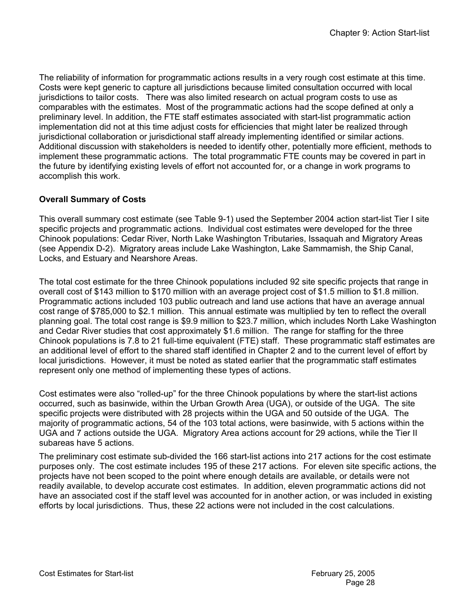The reliability of information for programmatic actions results in a very rough cost estimate at this time. Costs were kept generic to capture all jurisdictions because limited consultation occurred with local jurisdictions to tailor costs. There was also limited research on actual program costs to use as comparables with the estimates. Most of the programmatic actions had the scope defined at only a preliminary level. In addition, the FTE staff estimates associated with start-list programmatic action implementation did not at this time adjust costs for efficiencies that might later be realized through jurisdictional collaboration or jurisdictional staff already implementing identified or similar actions. Additional discussion with stakeholders is needed to identify other, potentially more efficient, methods to implement these programmatic actions. The total programmatic FTE counts may be covered in part in the future by identifying existing levels of effort not accounted for, or a change in work programs to accomplish this work.

# **Overall Summary of Costs**

This overall summary cost estimate (see Table 9-1) used the September 2004 action start-list Tier I site specific projects and programmatic actions. Individual cost estimates were developed for the three Chinook populations: Cedar River, North Lake Washington Tributaries, Issaquah and Migratory Areas (see Appendix D-2). Migratory areas include Lake Washington, Lake Sammamish, the Ship Canal, Locks, and Estuary and Nearshore Areas.

The total cost estimate for the three Chinook populations included 92 site specific projects that range in overall cost of \$143 million to \$170 million with an average project cost of \$1.5 million to \$1.8 million. Programmatic actions included 103 public outreach and land use actions that have an average annual cost range of \$785,000 to \$2.1 million. This annual estimate was multiplied by ten to reflect the overall planning goal. The total cost range is \$9.9 million to \$23.7 million, which includes North Lake Washington and Cedar River studies that cost approximately \$1.6 million. The range for staffing for the three Chinook populations is 7.8 to 21 full-time equivalent (FTE) staff. These programmatic staff estimates are an additional level of effort to the shared staff identified in Chapter 2 and to the current level of effort by local jurisdictions. However, it must be noted as stated earlier that the programmatic staff estimates represent only one method of implementing these types of actions.

Cost estimates were also "rolled-up" for the three Chinook populations by where the start-list actions occurred, such as basinwide, within the Urban Growth Area (UGA), or outside of the UGA. The site specific projects were distributed with 28 projects within the UGA and 50 outside of the UGA. The majority of programmatic actions, 54 of the 103 total actions, were basinwide, with 5 actions within the UGA and 7 actions outside the UGA. Migratory Area actions account for 29 actions, while the Tier II subareas have 5 actions.

The preliminary cost estimate sub-divided the 166 start-list actions into 217 actions for the cost estimate purposes only. The cost estimate includes 195 of these 217 actions. For eleven site specific actions, the projects have not been scoped to the point where enough details are available, or details were not readily available, to develop accurate cost estimates. In addition, eleven programmatic actions did not have an associated cost if the staff level was accounted for in another action, or was included in existing efforts by local jurisdictions. Thus, these 22 actions were not included in the cost calculations.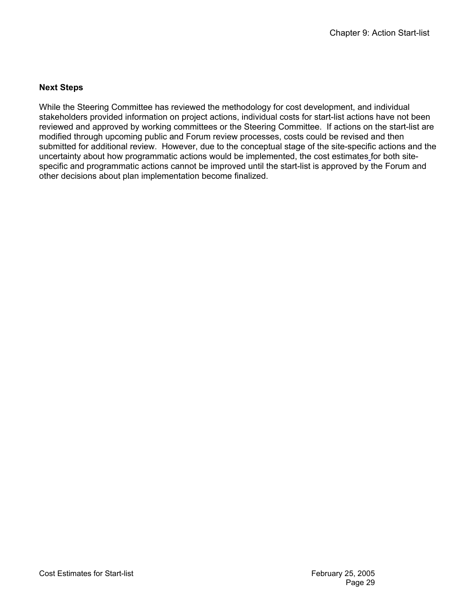### **Next Steps**

While the Steering Committee has reviewed the methodology for cost development, and individual stakeholders provided information on project actions, individual costs for start-list actions have not been reviewed and approved by working committees or the Steering Committee. If actions on the start-list are modified through upcoming public and Forum review processes, costs could be revised and then submitted for additional review. However, due to the conceptual stage of the site-specific actions and the uncertainty about how programmatic actions would be implemented, the cost estimates for both sitespecific and programmatic actions cannot be improved until the start-list is approved by the Forum and other decisions about plan implementation become finalized.